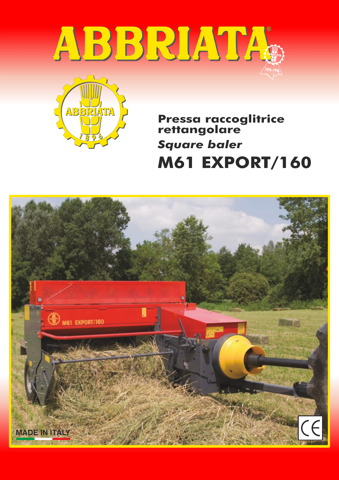



**M61 EXPORT/160 Pressa raccoglitrice rettangolare** *Square baler*